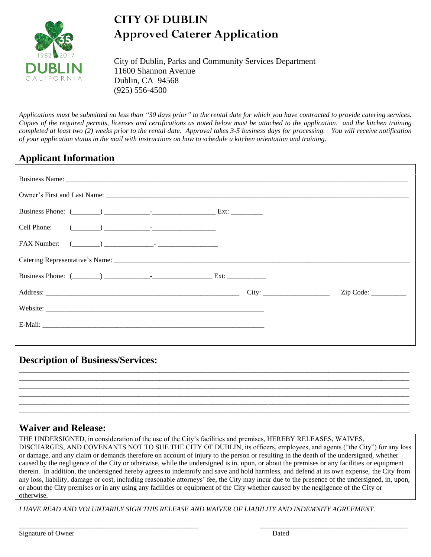

## **CITY OF DUBLIN Approved Caterer Application**

City of Dublin, Parks and Community Services Department 11600 Shannon Avenue Dublin, CA 94568 (925) 556-4500

*Applications must be submitted no less than "30 days prior" to the rental date for which you have contracted to provide catering services. Copies of the required permits, licenses and certifications as noted below must be attached to the application. and the kitchen training completed at least two (2) weeks prior to the rental date. Approval takes 3-5 business days for processing. You will receive notification of your application status in the mail with instructions on how to schedule a kitchen orientation and training.*

## **Applicant Information**

| Address: City: City: |  | Zip Code: |  |  |  |
|----------------------|--|-----------|--|--|--|
| Website:             |  |           |  |  |  |
|                      |  |           |  |  |  |
|                      |  |           |  |  |  |

## **Description of Business/Services:**

## **Waiver and Release:**

THE UNDERSIGNED, in consideration of the use of the City's facilities and premises, HEREBY RELEASES, WAIVES, DISCHARGES, AND COVENANTS NOT TO SUE THE CITY OF DUBLIN, its officers, employees, and agents ("the City") for any loss or damage, and any claim or demands therefore on account of injury to the person or resulting in the death of the undersigned, whether caused by the negligence of the City or otherwise, while the undersigned is in, upon, or about the premises or any facilities or equipment therein. In addition, the undersigned hereby agrees to indemnify and save and hold harmless, and defend at its own expense, the City from any loss, liability, damage or cost, including reasonable attorneys' fee, the City may incur due to the presence of the undersigned, in, upon, or about the City premises or in any using any facilities or equipment of the City whether caused by the negligence of the City or otherwise.

\_\_\_\_\_\_\_\_\_\_\_\_\_\_\_\_\_\_\_\_\_\_\_\_\_\_\_\_\_\_\_\_\_\_\_\_\_\_\_\_\_\_\_\_\_\_\_\_\_\_\_ \_\_\_\_\_\_\_\_\_\_\_\_\_\_\_\_\_\_\_\_\_\_\_\_\_\_\_\_\_\_\_\_\_\_\_\_\_\_\_\_\_\_

\_\_\_\_\_\_\_\_\_\_\_\_\_\_\_\_\_\_\_\_\_\_\_\_\_\_\_\_\_\_\_\_\_\_\_\_\_\_\_\_\_\_\_\_\_\_\_\_\_\_\_\_\_\_\_\_\_\_\_\_\_\_\_\_\_\_\_\_\_\_\_\_\_\_\_\_\_\_\_\_\_\_\_\_\_\_\_\_\_\_\_\_\_\_\_\_\_\_\_\_\_\_\_\_\_\_\_\_\_\_\_ \_\_\_\_\_\_\_\_\_\_\_\_\_\_\_\_\_\_\_\_\_\_\_\_\_\_\_\_\_\_\_\_\_\_\_\_\_\_\_\_\_\_\_\_\_\_\_\_\_\_\_\_\_\_\_\_\_\_\_\_\_\_\_\_\_\_\_\_\_\_\_\_\_\_\_\_\_\_\_\_\_\_\_\_\_\_\_\_\_\_\_\_\_\_\_\_\_\_\_\_\_\_\_\_\_\_\_\_\_\_\_ \_\_\_\_\_\_\_\_\_\_\_\_\_\_\_\_\_\_\_\_\_\_\_\_\_\_\_\_\_\_\_\_\_\_\_\_\_\_\_\_\_\_\_\_\_\_\_\_\_\_\_\_\_\_\_\_\_\_\_\_\_\_\_\_\_\_\_\_\_\_\_\_\_\_\_\_\_\_\_\_\_\_\_\_\_\_\_\_\_\_\_\_\_\_\_\_\_\_\_\_\_\_\_\_\_\_\_\_\_\_\_ \_\_\_\_\_\_\_\_\_\_\_\_\_\_\_\_\_\_\_\_\_\_\_\_\_\_\_\_\_\_\_\_\_\_\_\_\_\_\_\_\_\_\_\_\_\_\_\_\_\_\_\_\_\_\_\_\_\_\_\_\_\_\_\_\_\_\_\_\_\_\_\_\_\_\_\_\_\_\_\_\_\_\_\_\_\_\_\_\_\_\_\_\_\_\_\_\_\_\_\_\_\_\_\_\_\_\_\_\_\_\_ \_\_\_\_\_\_\_\_\_\_\_\_\_\_\_\_\_\_\_\_\_\_\_\_\_\_\_\_\_\_\_\_\_\_\_\_\_\_\_\_\_\_\_\_\_\_\_\_\_\_\_\_\_\_\_\_\_\_\_\_\_\_\_\_\_\_\_\_\_\_\_\_\_\_\_\_\_\_\_\_\_\_\_\_\_\_\_\_\_\_\_\_\_\_\_\_\_\_\_\_\_\_\_\_\_\_\_\_\_\_\_ \_\_\_\_\_\_\_\_\_\_\_\_\_\_\_\_\_\_\_\_\_\_\_\_\_\_\_\_\_\_\_\_\_\_\_\_\_\_\_\_\_\_\_\_\_\_\_\_\_\_\_\_\_\_\_\_\_\_\_\_\_\_\_\_\_\_\_\_\_\_\_\_\_\_\_\_\_\_\_\_\_\_\_\_\_\_\_\_\_\_\_\_\_\_\_\_\_\_\_\_\_\_\_\_\_\_\_\_\_\_\_

*I HAVE READ AND VOLUNTARILY SIGN THIS RELEASE AND WAIVER OF LIABILITY AND INDEMNITY AGREEMENT.*